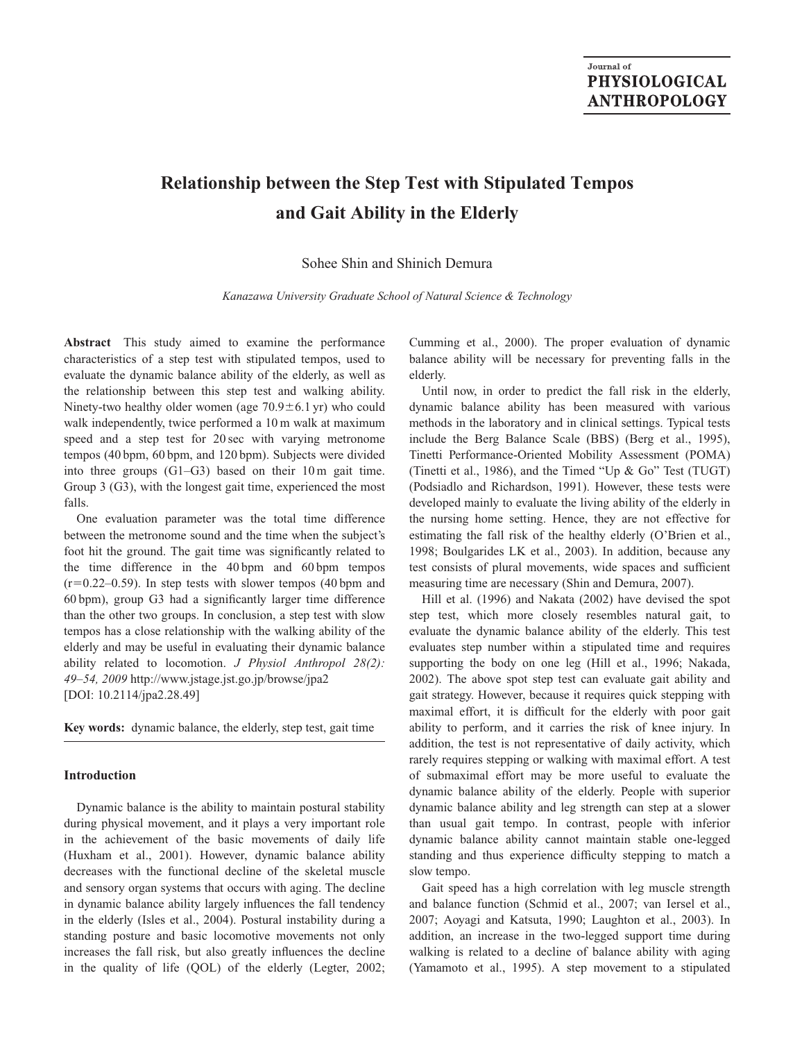# **Relationship between the Step Test with Stipulated Tempos and Gait Ability in the Elderly**

## Sohee Shin and Shinich Demura

*Kanazawa University Graduate School of Natural Science & Technology*

**Abstract** This study aimed to examine the performance characteristics of a step test with stipulated tempos, used to evaluate the dynamic balance ability of the elderly, as well as the relationship between this step test and walking ability. Ninety-two healthy older women (age  $70.9 \pm 6.1$  yr) who could walk independently, twice performed a 10 m walk at maximum speed and a step test for 20 sec with varying metronome tempos (40 bpm, 60 bpm, and 120 bpm). Subjects were divided into three groups (G1–G3) based on their 10 m gait time. Group 3 (G3), with the longest gait time, experienced the most falls.

One evaluation parameter was the total time difference between the metronome sound and the time when the subject's foot hit the ground. The gait time was significantly related to the time difference in the 40 bpm and 60 bpm tempos  $(r=0.22-0.59)$ . In step tests with slower tempos (40 bpm and 60 bpm), group G3 had a significantly larger time difference than the other two groups. In conclusion, a step test with slow tempos has a close relationship with the walking ability of the elderly and may be useful in evaluating their dynamic balance ability related to locomotion. *J Physiol Anthropol 28(2): 49–54, 2009* http://www.jstage.jst.go.jp/browse/jpa2 [DOI: 10.2114/jpa2.28.49]

**Key words:** dynamic balance, the elderly, step test, gait time

## **Introduction**

Dynamic balance is the ability to maintain postural stability during physical movement, and it plays a very important role in the achievement of the basic movements of daily life (Huxham et al., 2001). However, dynamic balance ability decreases with the functional decline of the skeletal muscle and sensory organ systems that occurs with aging. The decline in dynamic balance ability largely influences the fall tendency in the elderly (Isles et al., 2004). Postural instability during a standing posture and basic locomotive movements not only increases the fall risk, but also greatly influences the decline in the quality of life (QOL) of the elderly (Legter, 2002;

Cumming et al., 2000). The proper evaluation of dynamic balance ability will be necessary for preventing falls in the elderly.

Until now, in order to predict the fall risk in the elderly, dynamic balance ability has been measured with various methods in the laboratory and in clinical settings. Typical tests include the Berg Balance Scale (BBS) (Berg et al., 1995), Tinetti Performance-Oriented Mobility Assessment (POMA) (Tinetti et al., 1986), and the Timed "Up & Go" Test (TUGT) (Podsiadlo and Richardson, 1991). However, these tests were developed mainly to evaluate the living ability of the elderly in the nursing home setting. Hence, they are not effective for estimating the fall risk of the healthy elderly (O'Brien et al., 1998; Boulgarides LK et al., 2003). In addition, because any test consists of plural movements, wide spaces and sufficient measuring time are necessary (Shin and Demura, 2007).

Hill et al. (1996) and Nakata (2002) have devised the spot step test, which more closely resembles natural gait, to evaluate the dynamic balance ability of the elderly. This test evaluates step number within a stipulated time and requires supporting the body on one leg (Hill et al., 1996; Nakada, 2002). The above spot step test can evaluate gait ability and gait strategy. However, because it requires quick stepping with maximal effort, it is difficult for the elderly with poor gait ability to perform, and it carries the risk of knee injury. In addition, the test is not representative of daily activity, which rarely requires stepping or walking with maximal effort. A test of submaximal effort may be more useful to evaluate the dynamic balance ability of the elderly. People with superior dynamic balance ability and leg strength can step at a slower than usual gait tempo. In contrast, people with inferior dynamic balance ability cannot maintain stable one-legged standing and thus experience difficulty stepping to match a slow tempo.

Gait speed has a high correlation with leg muscle strength and balance function (Schmid et al., 2007; van Iersel et al., 2007; Aoyagi and Katsuta, 1990; Laughton et al., 2003). In addition, an increase in the two-legged support time during walking is related to a decline of balance ability with aging (Yamamoto et al., 1995). A step movement to a stipulated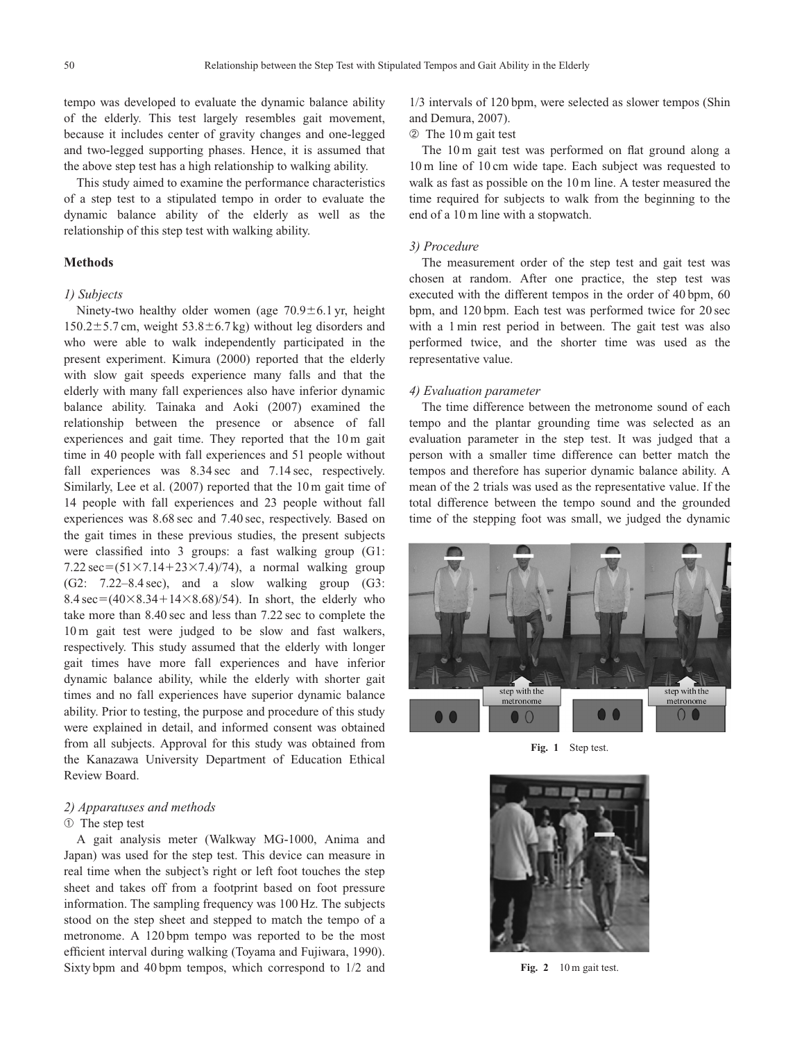tempo was developed to evaluate the dynamic balance ability of the elderly. This test largely resembles gait movement, because it includes center of gravity changes and one-legged and two-legged supporting phases. Hence, it is assumed that the above step test has a high relationship to walking ability.

This study aimed to examine the performance characteristics of a step test to a stipulated tempo in order to evaluate the dynamic balance ability of the elderly as well as the relationship of this step test with walking ability.

## **Methods**

## *1) Subjects*

Ninety-two healthy older women (age  $70.9 \pm 6.1$  yr, height  $150.2 \pm 5.7$  cm, weight  $53.8 \pm 6.7$  kg) without leg disorders and who were able to walk independently participated in the present experiment. Kimura (2000) reported that the elderly with slow gait speeds experience many falls and that the elderly with many fall experiences also have inferior dynamic balance ability. Tainaka and Aoki (2007) examined the relationship between the presence or absence of fall experiences and gait time. They reported that the 10 m gait time in 40 people with fall experiences and 51 people without fall experiences was  $8.34 \text{ sec}$  and  $7.14 \text{ sec}$ , respectively. Similarly, Lee et al. (2007) reported that the 10 m gait time of 14 people with fall experiences and 23 people without fall experiences was 8.68 sec and 7.40 sec, respectively. Based on the gait times in these previous studies, the present subjects were classified into 3 groups: a fast walking group (G1: 7.22 sec= $(51\times7.14+23\times7.4)/74$ ), a normal walking group (G2: 7.22–8.4 sec), and a slow walking group (G3:  $8.4 \text{ sec} = (40 \times 8.34 + 14 \times 8.68)/54$ . In short, the elderly who take more than 8.40 sec and less than 7.22 sec to complete the 10 m gait test were judged to be slow and fast walkers, respectively. This study assumed that the elderly with longer gait times have more fall experiences and have inferior dynamic balance ability, while the elderly with shorter gait times and no fall experiences have superior dynamic balance ability. Prior to testing, the purpose and procedure of this study were explained in detail, and informed consent was obtained from all subjects. Approval for this study was obtained from the Kanazawa University Department of Education Ethical Review Board.

## *2) Apparatuses and methods*

#### ➀ The step test

A gait analysis meter (Walkway MG-1000, Anima and Japan) was used for the step test. This device can measure in real time when the subject's right or left foot touches the step sheet and takes off from a footprint based on foot pressure information. The sampling frequency was 100 Hz. The subjects stood on the step sheet and stepped to match the tempo of a metronome. A 120 bpm tempo was reported to be the most efficient interval during walking (Toyama and Fujiwara, 1990). Sixty bpm and 40 bpm tempos, which correspond to 1/2 and

1/3 intervals of 120 bpm, were selected as slower tempos (Shin and Demura, 2007).

#### ➁ The 10 m gait test

The 10 m gait test was performed on flat ground along a 10 m line of 10 cm wide tape. Each subject was requested to walk as fast as possible on the 10 m line. A tester measured the time required for subjects to walk from the beginning to the end of a 10 m line with a stopwatch.

### *3) Procedure*

The measurement order of the step test and gait test was chosen at random. After one practice, the step test was executed with the different tempos in the order of 40 bpm, 60 bpm, and 120 bpm. Each test was performed twice for 20 sec with a 1 min rest period in between. The gait test was also performed twice, and the shorter time was used as the representative value.

#### *4) Evaluation parameter*

The time difference between the metronome sound of each tempo and the plantar grounding time was selected as an evaluation parameter in the step test. It was judged that a person with a smaller time difference can better match the tempos and therefore has superior dynamic balance ability. A mean of the 2 trials was used as the representative value. If the total difference between the tempo sound and the grounded time of the stepping foot was small, we judged the dynamic



**Fig. 1** Step test.



Fig. 2 10 m gait test.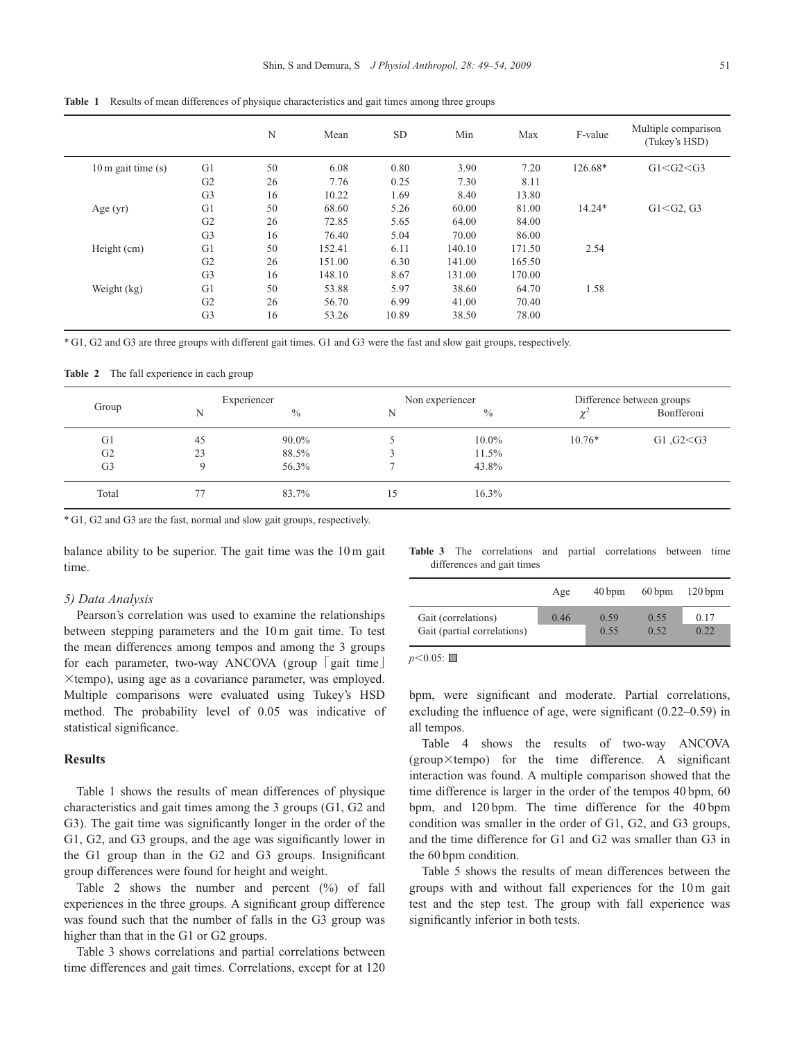|                              |                | N  | Mean   | <b>SD</b> | Min    | Max    | F-value  | Multiple comparison<br>(Tukey's HSD) |
|------------------------------|----------------|----|--------|-----------|--------|--------|----------|--------------------------------------|
| $10 \text{ m}$ gait time (s) | G <sub>1</sub> | 50 | 6.08   | 0.80      | 3.90   | 7.20   | 126.68*  | G1 < G2 < G3                         |
|                              | G <sub>2</sub> | 26 | 7.76   | 0.25      | 7.30   | 8.11   |          |                                      |
|                              | G <sub>3</sub> | 16 | 10.22  | 1.69      | 8.40   | 13.80  |          |                                      |
| Age $(yr)$                   | G1             | 50 | 68.60  | 5.26      | 60.00  | 81.00  | $14.24*$ | $G1 < G2$ , $G3$                     |
|                              | G <sub>2</sub> | 26 | 72.85  | 5.65      | 64.00  | 84.00  |          |                                      |
|                              | G <sub>3</sub> | 16 | 76.40  | 5.04      | 70.00  | 86.00  |          |                                      |
| Height (cm)                  | G1             | 50 | 152.41 | 6.11      | 140.10 | 171.50 | 2.54     |                                      |
|                              | G <sub>2</sub> | 26 | 151.00 | 6.30      | 141.00 | 165.50 |          |                                      |
|                              | G <sub>3</sub> | 16 | 148.10 | 8.67      | 131.00 | 170.00 |          |                                      |
| Weight (kg)                  | G1             | 50 | 53.88  | 5.97      | 38.60  | 64.70  | 1.58     |                                      |
|                              | G <sub>2</sub> | 26 | 56.70  | 6.99      | 41.00  | 70.40  |          |                                      |
|                              | G <sub>3</sub> | 16 | 53.26  | 10.89     | 38.50  | 78.00  |          |                                      |

**Table 1** Results of mean differences of physique characteristics and gait times among three groups

\* G1, G2 and G3 are three groups with different gait times. G1 and G3 were the fast and slow gait groups, respectively.

**Table 2** The fall experience in each group

| Group          |    | Experiencer   |    | Non experiencer | Difference between groups             |             |  |
|----------------|----|---------------|----|-----------------|---------------------------------------|-------------|--|
|                | N  | $\frac{0}{0}$ | N  | $\frac{0}{0}$   | $\chi^{\scriptscriptstyle\mathsf{c}}$ | Bonfferoni  |  |
| G <sub>1</sub> | 45 | 90.0%         |    | 10.0%           | $10.76*$                              | G1, G2 < G3 |  |
| G2             | 23 | 88.5%         |    | $11.5\%$        |                                       |             |  |
| G <sub>3</sub> |    | 56.3%         |    | 43.8%           |                                       |             |  |
| Total          | 77 | 83.7%         | 15 | $16.3\%$        |                                       |             |  |

\* G1, G2 and G3 are the fast, normal and slow gait groups, respectively.

balance ability to be superior. The gait time was the 10 m gait time.

#### *5) Data Analysis*

Pearson's correlation was used to examine the relationships between stepping parameters and the 10 m gait time. To test the mean differences among tempos and among the 3 groups for each parameter, two-way ANCOVA (group [gait time]  $\times$ tempo), using age as a covariance parameter, was employed. Multiple comparisons were evaluated using Tukey's HSD method. The probability level of 0.05 was indicative of statistical significance.

#### **Results**

Table 1 shows the results of mean differences of physique characteristics and gait times among the 3 groups (G1, G2 and G3). The gait time was significantly longer in the order of the G1, G2, and G3 groups, and the age was significantly lower in the G1 group than in the G2 and G3 groups. Insignificant group differences were found for height and weight.

Table 2 shows the number and percent  $(\%)$  of fall experiences in the three groups. A significant group difference was found such that the number of falls in the G3 group was higher than that in the G1 or G2 groups.

Table 3 shows correlations and partial correlations between time differences and gait times. Correlations, except for at 120 **Table 3** The correlations and partial correlations between time differences and gait times

|                             | Age  | $40 \,\mathrm{bpm}$ | $60 \,\mathrm{bpm}$ | $120 \,\mathrm{bpm}$ |
|-----------------------------|------|---------------------|---------------------|----------------------|
| Gait (correlations)         | 0.46 | 0.59                | 0.55                | 0.17                 |
| Gait (partial correlations) |      | 0.55                | 0.52                | 0.22                 |

 $p<0.05$ :

bpm, were significant and moderate. Partial correlations, excluding the influence of age, were significant (0.22–0.59) in all tempos.

Table 4 shows the results of two-way ANCOVA  $(group\times tempo)$  for the time difference. A significant interaction was found. A multiple comparison showed that the time difference is larger in the order of the tempos 40 bpm, 60 bpm, and 120 bpm. The time difference for the 40 bpm condition was smaller in the order of G1, G2, and G3 groups, and the time difference for G1 and G2 was smaller than G3 in the 60 bpm condition.

Table 5 shows the results of mean differences between the groups with and without fall experiences for the 10 m gait test and the step test. The group with fall experience was significantly inferior in both tests.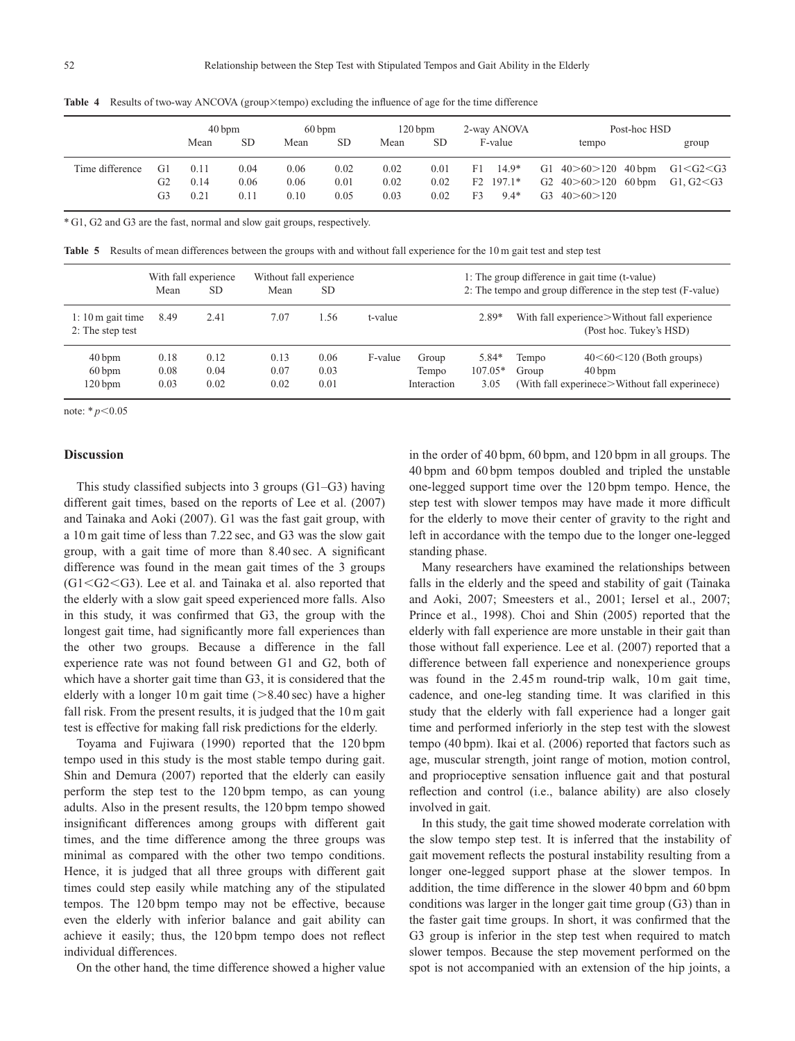|                 |                | $40 \,\mathrm{bpm}$  |                      | $60 \,\mathrm{bpm}$  |                      | $120$ bpm            |                      | 2-way ANOVA |                                        | Post-hoc HSD                                                                       |  |                             |  |
|-----------------|----------------|----------------------|----------------------|----------------------|----------------------|----------------------|----------------------|-------------|----------------------------------------|------------------------------------------------------------------------------------|--|-----------------------------|--|
|                 |                | Mean                 | <b>SD</b>            | Mean                 | <b>SD</b>            | Mean                 | <b>SD</b>            |             | F-value                                | tempo                                                                              |  | group                       |  |
| Time difference | G1<br>G2<br>G3 | 0.11<br>0.14<br>0.21 | 0.04<br>0.06<br>0.11 | 0.06<br>0.06<br>0.10 | 0.02<br>0.01<br>0.05 | 0.02<br>0.02<br>0.03 | 0.01<br>0.02<br>0.02 | F1<br>F3    | $14.9*$<br>$F2 \quad 197.1*$<br>$9.4*$ | G1 $40 > 60 > 120$ 40 bpm<br>G2 $40 > 60 > 120$ 60 bpm<br>$G3 \quad 40 > 60 > 120$ |  | G1 < G2 < G3<br>G1, G2 < G3 |  |

Table 4 Results of two-way ANCOVA (group×tempo) excluding the influence of age for the time difference

\* G1, G2 and G3 are the fast, normal and slow gait groups, respectively.

**Table 5** Results of mean differences between the groups with and without fall experience for the 10 m gait test and step test

|                                                | With fall experience<br>Without fall experience<br>SD.<br>Mean<br><b>SD</b><br>Mean |                      |                      |                      |         | 1: The group difference in gait time (t-value)<br>2: The tempo and group difference in the step test (F-value) |                            |                |                                                                                                        |  |
|------------------------------------------------|-------------------------------------------------------------------------------------|----------------------|----------------------|----------------------|---------|----------------------------------------------------------------------------------------------------------------|----------------------------|----------------|--------------------------------------------------------------------------------------------------------|--|
| $1:10 \text{ m}$ gait time<br>2: The step test | 8.49                                                                                | 2.41                 | 7.07                 | 1.56                 | t-value |                                                                                                                | $2.89*$                    |                | With fall experience > Without fall experience<br>(Post hoc. Tukey's HSD)                              |  |
| $40$ bpm<br>$60$ bpm<br>120 bpm                | 0.18<br>0.08<br>0.03                                                                | 0.12<br>0.04<br>0.02 | 0.13<br>0.07<br>0.02 | 0.06<br>0.03<br>0.01 | F-value | Group<br>Tempo<br>Interaction                                                                                  | 5.84*<br>$107.05*$<br>3.05 | Tempo<br>Group | $40 < 60 < 120$ (Both groups)<br>$40 \,\mathrm{bpm}$<br>(With fall experimece>Without fall experimece) |  |

note:  $*_{p<0.05}$ 

## **Discussion**

This study classified subjects into 3 groups (G1–G3) having different gait times, based on the reports of Lee et al. (2007) and Tainaka and Aoki (2007). G1 was the fast gait group, with a 10 m gait time of less than 7.22 sec, and G3 was the slow gait group, with a gait time of more than 8.40 sec. A significant difference was found in the mean gait times of the 3 groups  $(G1< G2< G3)$ . Lee et al. and Tainaka et al. also reported that the elderly with a slow gait speed experienced more falls. Also in this study, it was confirmed that G3, the group with the longest gait time, had significantly more fall experiences than the other two groups. Because a difference in the fall experience rate was not found between G1 and G2, both of which have a shorter gait time than G3, it is considered that the elderly with a longer 10 m gait time  $(>8.40 \text{ sec})$  have a higher fall risk. From the present results, it is judged that the 10 m gait test is effective for making fall risk predictions for the elderly.

Toyama and Fujiwara (1990) reported that the 120 bpm tempo used in this study is the most stable tempo during gait. Shin and Demura (2007) reported that the elderly can easily perform the step test to the 120 bpm tempo, as can young adults. Also in the present results, the 120 bpm tempo showed insignificant differences among groups with different gait times, and the time difference among the three groups was minimal as compared with the other two tempo conditions. Hence, it is judged that all three groups with different gait times could step easily while matching any of the stipulated tempos. The 120 bpm tempo may not be effective, because even the elderly with inferior balance and gait ability can achieve it easily; thus, the 120 bpm tempo does not reflect individual differences.

On the other hand, the time difference showed a higher value

in the order of 40 bpm, 60 bpm, and 120 bpm in all groups. The 40 bpm and 60 bpm tempos doubled and tripled the unstable one-legged support time over the 120 bpm tempo. Hence, the step test with slower tempos may have made it more difficult for the elderly to move their center of gravity to the right and left in accordance with the tempo due to the longer one-legged standing phase.

Many researchers have examined the relationships between falls in the elderly and the speed and stability of gait (Tainaka and Aoki, 2007; Smeesters et al., 2001; Iersel et al., 2007; Prince et al., 1998). Choi and Shin (2005) reported that the elderly with fall experience are more unstable in their gait than those without fall experience. Lee et al. (2007) reported that a difference between fall experience and nonexperience groups was found in the 2.45 m round-trip walk, 10 m gait time, cadence, and one-leg standing time. It was clarified in this study that the elderly with fall experience had a longer gait time and performed inferiorly in the step test with the slowest tempo (40 bpm). Ikai et al. (2006) reported that factors such as age, muscular strength, joint range of motion, motion control, and proprioceptive sensation influence gait and that postural reflection and control (i.e., balance ability) are also closely involved in gait.

In this study, the gait time showed moderate correlation with the slow tempo step test. It is inferred that the instability of gait movement reflects the postural instability resulting from a longer one-legged support phase at the slower tempos. In addition, the time difference in the slower 40 bpm and 60 bpm conditions was larger in the longer gait time group (G3) than in the faster gait time groups. In short, it was confirmed that the G3 group is inferior in the step test when required to match slower tempos. Because the step movement performed on the spot is not accompanied with an extension of the hip joints, a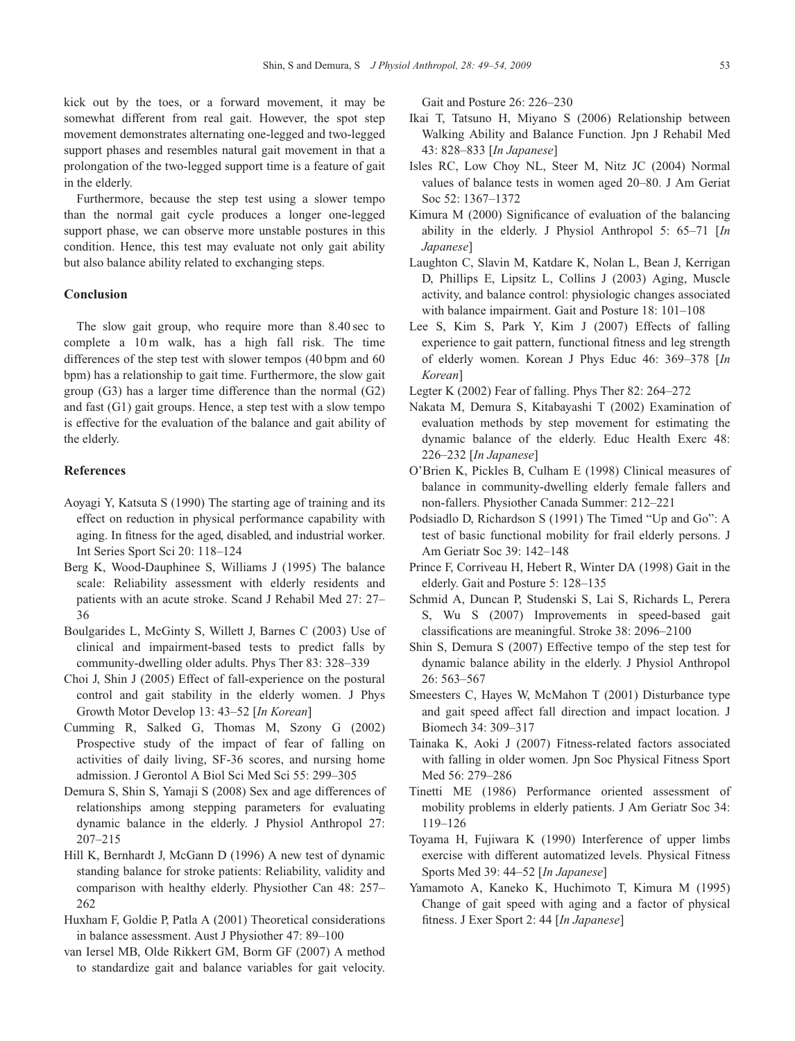kick out by the toes, or a forward movement, it may be somewhat different from real gait. However, the spot step movement demonstrates alternating one-legged and two-legged support phases and resembles natural gait movement in that a prolongation of the two-legged support time is a feature of gait in the elderly.

Furthermore, because the step test using a slower tempo than the normal gait cycle produces a longer one-legged support phase, we can observe more unstable postures in this condition. Hence, this test may evaluate not only gait ability but also balance ability related to exchanging steps.

#### **Conclusion**

The slow gait group, who require more than 8.40 sec to complete a 10 m walk, has a high fall risk. The time differences of the step test with slower tempos (40 bpm and 60 bpm) has a relationship to gait time. Furthermore, the slow gait group (G3) has a larger time difference than the normal (G2) and fast (G1) gait groups. Hence, a step test with a slow tempo is effective for the evaluation of the balance and gait ability of the elderly.

#### **References**

- Aoyagi Y, Katsuta S (1990) The starting age of training and its effect on reduction in physical performance capability with aging. In fitness for the aged, disabled, and industrial worker. Int Series Sport Sci 20: 118–124
- Berg K, Wood-Dauphinee S, Williams J (1995) The balance scale: Reliability assessment with elderly residents and patients with an acute stroke. Scand J Rehabil Med 27: 27– 36
- Boulgarides L, McGinty S, Willett J, Barnes C (2003) Use of clinical and impairment-based tests to predict falls by community-dwelling older adults. Phys Ther 83: 328–339
- Choi J, Shin J (2005) Effect of fall-experience on the postural control and gait stability in the elderly women. J Phys Growth Motor Develop 13: 43–52 [*In Korean*]
- Cumming R, Salked G, Thomas M, Szony G (2002) Prospective study of the impact of fear of falling on activities of daily living, SF-36 scores, and nursing home admission. J Gerontol A Biol Sci Med Sci 55: 299–305
- Demura S, Shin S, Yamaji S (2008) Sex and age differences of relationships among stepping parameters for evaluating dynamic balance in the elderly. J Physiol Anthropol 27: 207–215
- Hill K, Bernhardt J, McGann D (1996) A new test of dynamic standing balance for stroke patients: Reliability, validity and comparison with healthy elderly. Physiother Can 48: 257– 262
- Huxham F, Goldie P, Patla A (2001) Theoretical considerations in balance assessment. Aust J Physiother 47: 89–100
- van Iersel MB, Olde Rikkert GM, Borm GF (2007) A method to standardize gait and balance variables for gait velocity.

Gait and Posture 26: 226–230

- Ikai T, Tatsuno H, Miyano S (2006) Relationship between Walking Ability and Balance Function. Jpn J Rehabil Med 43: 828–833 [*In Japanese*]
- Isles RC, Low Choy NL, Steer M, Nitz JC (2004) Normal values of balance tests in women aged 20–80. J Am Geriat Soc 52: 1367–1372
- Kimura M (2000) Significance of evaluation of the balancing ability in the elderly. J Physiol Anthropol 5: 65–71 [*In Japanese*]
- Laughton C, Slavin M, Katdare K, Nolan L, Bean J, Kerrigan D, Phillips E, Lipsitz L, Collins J (2003) Aging, Muscle activity, and balance control: physiologic changes associated with balance impairment. Gait and Posture 18: 101–108
- Lee S, Kim S, Park Y, Kim J (2007) Effects of falling experience to gait pattern, functional fitness and leg strength of elderly women. Korean J Phys Educ 46: 369–378 [*In Korean*]
- Legter K (2002) Fear of falling. Phys Ther 82: 264–272
- Nakata M, Demura S, Kitabayashi T (2002) Examination of evaluation methods by step movement for estimating the dynamic balance of the elderly. Educ Health Exerc 48: 226–232 [*In Japanese*]
- O'Brien K, Pickles B, Culham E (1998) Clinical measures of balance in community-dwelling elderly female fallers and non-fallers. Physiother Canada Summer: 212–221
- Podsiadlo D, Richardson S (1991) The Timed "Up and Go": A test of basic functional mobility for frail elderly persons. J Am Geriatr Soc 39: 142–148
- Prince F, Corriveau H, Hebert R, Winter DA (1998) Gait in the elderly. Gait and Posture 5: 128–135
- Schmid A, Duncan P, Studenski S, Lai S, Richards L, Perera S, Wu S (2007) Improvements in speed-based gait classifications are meaningful. Stroke 38: 2096–2100
- Shin S, Demura S (2007) Effective tempo of the step test for dynamic balance ability in the elderly. J Physiol Anthropol 26: 563–567
- Smeesters C, Hayes W, McMahon T (2001) Disturbance type and gait speed affect fall direction and impact location. J Biomech 34: 309–317
- Tainaka K, Aoki J (2007) Fitness-related factors associated with falling in older women. Jpn Soc Physical Fitness Sport Med 56: 279–286
- Tinetti ME (1986) Performance oriented assessment of mobility problems in elderly patients. J Am Geriatr Soc 34: 119–126
- Toyama H, Fujiwara K (1990) Interference of upper limbs exercise with different automatized levels. Physical Fitness Sports Med 39: 44–52 [*In Japanese*]
- Yamamoto A, Kaneko K, Huchimoto T, Kimura M (1995) Change of gait speed with aging and a factor of physical fitness. J Exer Sport 2: 44 [*In Japanese*]